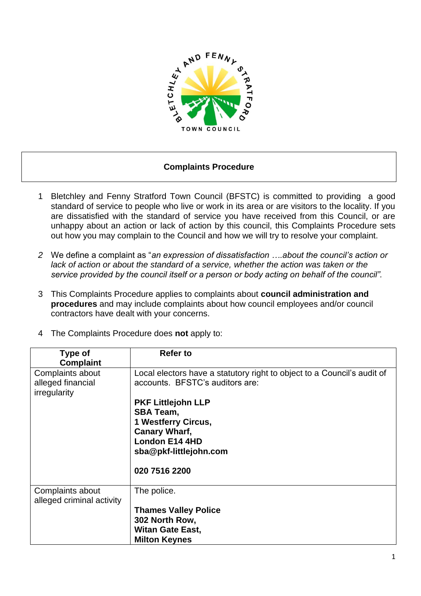

## **Complaints Procedure**

- 1 Bletchley and Fenny Stratford Town Council (BFSTC) is committed to providing a good standard of service to people who live or work in its area or are visitors to the locality. If you are dissatisfied with the standard of service you have received from this Council, or are unhappy about an action or lack of action by this council, this Complaints Procedure sets out how you may complain to the Council and how we will try to resolve your complaint.
- *2* We define a complaint as "*an expression of dissatisfaction ….about the council's action or*  lack of action or about the standard of a service, whether the action was taken or the *service provided by the council itself or a person or body acting on behalf of the council".*
- 3 This Complaints Procedure applies to complaints about **council administration and procedures** and may include complaints about how council employees and/or council contractors have dealt with your concerns.
- 4 The Complaints Procedure does **not** apply to:

| Type of<br><b>Complaint</b>                           | <b>Refer to</b>                                                                                                                                                  |
|-------------------------------------------------------|------------------------------------------------------------------------------------------------------------------------------------------------------------------|
| Complaints about<br>alleged financial<br>irregularity | Local electors have a statutory right to object to a Council's audit of<br>accounts. BFSTC's auditors are:                                                       |
|                                                       | <b>PKF Littlejohn LLP</b><br><b>SBA Team,</b><br><b>1 Westferry Circus,</b><br><b>Canary Wharf,</b><br>London E14 4HD<br>sba@pkf-littlejohn.com<br>020 7516 2200 |
| Complaints about<br>alleged criminal activity         | The police.<br><b>Thames Valley Police</b><br>302 North Row,<br><b>Witan Gate East,</b><br><b>Milton Keynes</b>                                                  |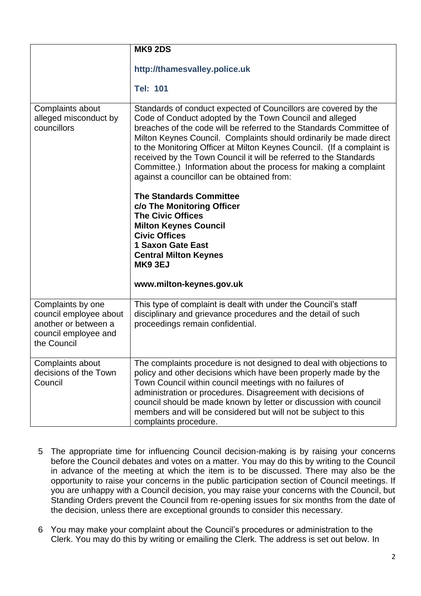|                                                                                                            | <b>MK9 2DS</b>                                                                                                                                                                                                                                                                                                                                                                                                                                                                                                                                                             |
|------------------------------------------------------------------------------------------------------------|----------------------------------------------------------------------------------------------------------------------------------------------------------------------------------------------------------------------------------------------------------------------------------------------------------------------------------------------------------------------------------------------------------------------------------------------------------------------------------------------------------------------------------------------------------------------------|
|                                                                                                            | http://thamesvalley.police.uk<br><b>Tel: 101</b>                                                                                                                                                                                                                                                                                                                                                                                                                                                                                                                           |
| Complaints about<br>alleged misconduct by<br>councillors                                                   | Standards of conduct expected of Councillors are covered by the<br>Code of Conduct adopted by the Town Council and alleged<br>breaches of the code will be referred to the Standards Committee of<br>Milton Keynes Council. Complaints should ordinarily be made direct<br>to the Monitoring Officer at Milton Keynes Council. (If a complaint is<br>received by the Town Council it will be referred to the Standards<br>Committee.) Information about the process for making a complaint<br>against a councillor can be obtained from:<br><b>The Standards Committee</b> |
|                                                                                                            | c/o The Monitoring Officer<br><b>The Civic Offices</b><br><b>Milton Keynes Council</b><br><b>Civic Offices</b><br>1 Saxon Gate East<br><b>Central Milton Keynes</b><br><b>MK9 3EJ</b><br>www.milton-keynes.gov.uk                                                                                                                                                                                                                                                                                                                                                          |
| Complaints by one<br>council employee about<br>another or between a<br>council employee and<br>the Council | This type of complaint is dealt with under the Council's staff<br>disciplinary and grievance procedures and the detail of such<br>proceedings remain confidential.                                                                                                                                                                                                                                                                                                                                                                                                         |
| Complaints about<br>decisions of the Town<br>Council                                                       | The complaints procedure is not designed to deal with objections to<br>policy and other decisions which have been properly made by the<br>Town Council within council meetings with no failures of<br>administration or procedures. Disagreement with decisions of<br>council should be made known by letter or discussion with council<br>members and will be considered but will not be subject to this<br>complaints procedure.                                                                                                                                         |

- 5 The appropriate time for influencing Council decision-making is by raising your concerns before the Council debates and votes on a matter. You may do this by writing to the Council in advance of the meeting at which the item is to be discussed. There may also be the opportunity to raise your concerns in the public participation section of Council meetings. If you are unhappy with a Council decision, you may raise your concerns with the Council, but Standing Orders prevent the Council from re-opening issues for six months from the date of the decision, unless there are exceptional grounds to consider this necessary.
- 6 You may make your complaint about the Council's procedures or administration to the Clerk. You may do this by writing or emailing the Clerk. The address is set out below. In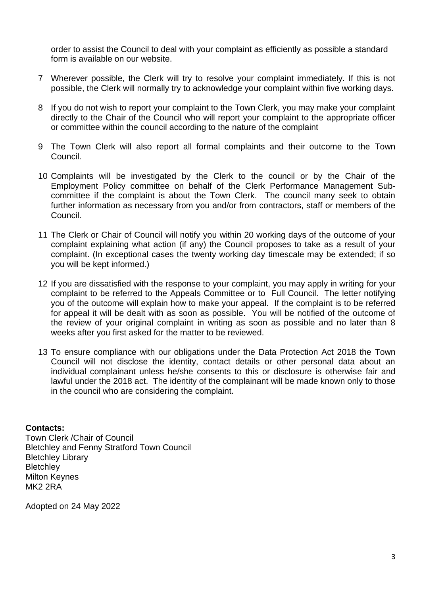order to assist the Council to deal with your complaint as efficiently as possible a standard form is available on our website.

- 7 Wherever possible, the Clerk will try to resolve your complaint immediately. If this is not possible, the Clerk will normally try to acknowledge your complaint within five working days.
- 8 If you do not wish to report your complaint to the Town Clerk, you may make your complaint directly to the Chair of the Council who will report your complaint to the appropriate officer or committee within the council according to the nature of the complaint
- 9 The Town Clerk will also report all formal complaints and their outcome to the Town Council.
- 10 Complaints will be investigated by the Clerk to the council or by the Chair of the Employment Policy committee on behalf of the Clerk Performance Management Subcommittee if the complaint is about the Town Clerk. The council many seek to obtain further information as necessary from you and/or from contractors, staff or members of the Council.
- 11 The Clerk or Chair of Council will notify you within 20 working days of the outcome of your complaint explaining what action (if any) the Council proposes to take as a result of your complaint. (In exceptional cases the twenty working day timescale may be extended; if so you will be kept informed.)
- 12 If you are dissatisfied with the response to your complaint, you may apply in writing for your complaint to be referred to the Appeals Committee or to Full Council. The letter notifying you of the outcome will explain how to make your appeal. If the complaint is to be referred for appeal it will be dealt with as soon as possible. You will be notified of the outcome of the review of your original complaint in writing as soon as possible and no later than 8 weeks after you first asked for the matter to be reviewed.
- 13 To ensure compliance with our obligations under the Data Protection Act 2018 the Town Council will not disclose the identity, contact details or other personal data about an individual complainant unless he/she consents to this or disclosure is otherwise fair and lawful under the 2018 act. The identity of the complainant will be made known only to those in the council who are considering the complaint.

## **Contacts:**

Town Clerk /Chair of Council Bletchley and Fenny Stratford Town Council Bletchley Library **Bletchley** Milton Keynes MK<sub>2</sub> 2RA

Adopted on 24 May 2022